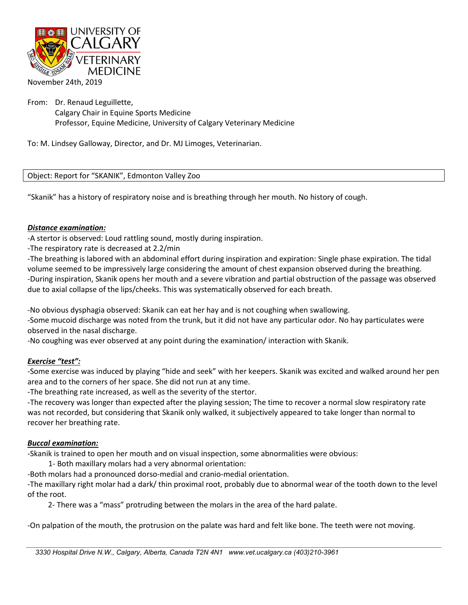

From: Dr. Renaud Leguillette,

Calgary Chair in Equine Sports Medicine Professor, Equine Medicine, University of Calgary Veterinary Medicine

To: M. Lindsey Galloway, Director, and Dr. MJ Limoges, Veterinarian.

Object: Report for "SKANIK", Edmonton Valley Zoo

"Skanik" has a history of respiratory noise and is breathing through her mouth. No history of cough.

### *Distance examination:*

-A stertor is observed: Loud rattling sound, mostly during inspiration.

-The respiratory rate is decreased at 2.2/min

-The breathing is labored with an abdominal effort during inspiration and expiration: Single phase expiration. The tidal volume seemed to be impressively large considering the amount of chest expansion observed during the breathing. -During inspiration, Skanik opens her mouth and a severe vibration and partial obstruction of the passage was observed due to axial collapse of the lips/cheeks. This was systematically observed for each breath.

-No obvious dysphagia observed: Skanik can eat her hay and is not coughing when swallowing.

-Some mucoid discharge was noted from the trunk, but it did not have any particular odor. No hay particulates were observed in the nasal discharge.

-No coughing was ever observed at any point during the examination/ interaction with Skanik.

# *Exercise "test":*

-Some exercise was induced by playing "hide and seek" with her keepers. Skanik was excited and walked around her pen area and to the corners of her space. She did not run at any time.

-The breathing rate increased, as well as the severity of the stertor.

-The recovery was longer than expected after the playing session; The time to recover a normal slow respiratory rate was not recorded, but considering that Skanik only walked, it subjectively appeared to take longer than normal to recover her breathing rate.

### *Buccal examination:*

-Skanik is trained to open her mouth and on visual inspection, some abnormalities were obvious:

1- Both maxillary molars had a very abnormal orientation:

-Both molars had a pronounced dorso-medial and cranio-medial orientation.

-The maxillary right molar had a dark/ thin proximal root, probably due to abnormal wear of the tooth down to the level of the root.

2- There was a "mass" protruding between the molars in the area of the hard palate.

-On palpation of the mouth, the protrusion on the palate was hard and felt like bone. The teeth were not moving.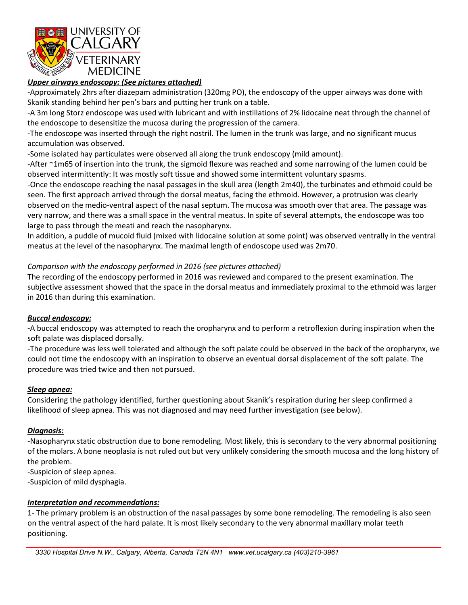

# *Upper airways endoscopy: (See pictures attached)*

-Approximately 2hrs after diazepam administration (320mg PO), the endoscopy of the upper airways was done with Skanik standing behind her pen's bars and putting her trunk on a table.

-A 3m long Storz endoscope was used with lubricant and with instillations of 2% lidocaine neat through the channel of the endoscope to desensitize the mucosa during the progression of the camera.

-The endoscope was inserted through the right nostril. The lumen in the trunk was large, and no significant mucus accumulation was observed.

-Some isolated hay particulates were observed all along the trunk endoscopy (mild amount).

-After ~1m65 of insertion into the trunk, the sigmoid flexure was reached and some narrowing of the lumen could be observed intermittently: It was mostly soft tissue and showed some intermittent voluntary spasms.

-Once the endoscope reaching the nasal passages in the skull area (length 2m40), the turbinates and ethmoid could be seen. The first approach arrived through the dorsal meatus, facing the ethmoid. However, a protrusion was clearly observed on the medio-ventral aspect of the nasal septum. The mucosa was smooth over that area. The passage was very narrow, and there was a small space in the ventral meatus. In spite of several attempts, the endoscope was too large to pass through the meati and reach the nasopharynx.

In addition, a puddle of mucoid fluid (mixed with lidocaine solution at some point) was observed ventrally in the ventral meatus at the level of the nasopharynx. The maximal length of endoscope used was 2m70.

## *Comparison with the endoscopy performed in 2016 (see pictures attached)*

The recording of the endoscopy performed in 2016 was reviewed and compared to the present examination. The subjective assessment showed that the space in the dorsal meatus and immediately proximal to the ethmoid was larger in 2016 than during this examination.

### *Buccal endoscopy:*

-A buccal endoscopy was attempted to reach the oropharynx and to perform a retroflexion during inspiration when the soft palate was displaced dorsally.

-The procedure was less well tolerated and although the soft palate could be observed in the back of the oropharynx, we could not time the endoscopy with an inspiration to observe an eventual dorsal displacement of the soft palate. The procedure was tried twice and then not pursued.

### *Sleep apnea:*

Considering the pathology identified, further questioning about Skanik's respiration during her sleep confirmed a likelihood of sleep apnea. This was not diagnosed and may need further investigation (see below).

### *Diagnosis:*

-Nasopharynx static obstruction due to bone remodeling. Most likely, this is secondary to the very abnormal positioning of the molars. A bone neoplasia is not ruled out but very unlikely considering the smooth mucosa and the long history of the problem.

-Suspicion of sleep apnea.

-Suspicion of mild dysphagia.

### *Interpretation and recommendations:*

1- The primary problem is an obstruction of the nasal passages by some bone remodeling. The remodeling is also seen on the ventral aspect of the hard palate. It is most likely secondary to the very abnormal maxillary molar teeth positioning.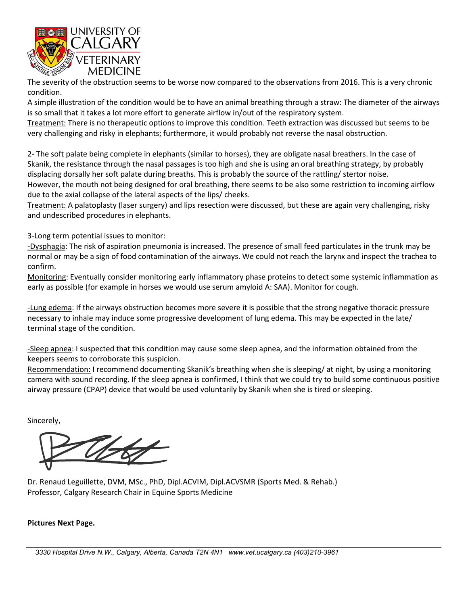

The severity of the obstruction seems to be worse now compared to the observations from 2016. This is a very chronic condition.

A simple illustration of the condition would be to have an animal breathing through a straw: The diameter of the airways is so small that it takes a lot more effort to generate airflow in/out of the respiratory system.

Treatment: There is no therapeutic options to improve this condition. Teeth extraction was discussed but seems to be very challenging and risky in elephants; furthermore, it would probably not reverse the nasal obstruction.

2- The soft palate being complete in elephants (similar to horses), they are obligate nasal breathers. In the case of Skanik, the resistance through the nasal passages is too high and she is using an oral breathing strategy, by probably displacing dorsally her soft palate during breaths. This is probably the source of the rattling/ stertor noise.

However, the mouth not being designed for oral breathing, there seems to be also some restriction to incoming airflow due to the axial collapse of the lateral aspects of the lips/ cheeks.

Treatment: A palatoplasty (laser surgery) and lips resection were discussed, but these are again very challenging, risky and undescribed procedures in elephants.

3-Long term potential issues to monitor:

-Dysphagia: The risk of aspiration pneumonia is increased. The presence of small feed particulates in the trunk may be normal or may be a sign of food contamination of the airways. We could not reach the larynx and inspect the trachea to confirm.

Monitoring: Eventually consider monitoring early inflammatory phase proteins to detect some systemic inflammation as early as possible (for example in horses we would use serum amyloid A: SAA). Monitor for cough.

-Lung edema: If the airways obstruction becomes more severe it is possible that the strong negative thoracic pressure necessary to inhale may induce some progressive development of lung edema. This may be expected in the late/ terminal stage of the condition.

-Sleep apnea: I suspected that this condition may cause some sleep apnea, and the information obtained from the keepers seems to corroborate this suspicion.

Recommendation: I recommend documenting Skanik's breathing when she is sleeping/ at night, by using a monitoring camera with sound recording. If the sleep apnea is confirmed, I think that we could try to build some continuous positive airway pressure (CPAP) device that would be used voluntarily by Skanik when she is tired or sleeping.

Sincerely,

Dr. Renaud Leguillette, DVM, MSc., PhD, Dipl.ACVIM, Dipl.ACVSMR (Sports Med. & Rehab.) Professor, Calgary Research Chair in Equine Sports Medicine

# **Pictures Next Page.**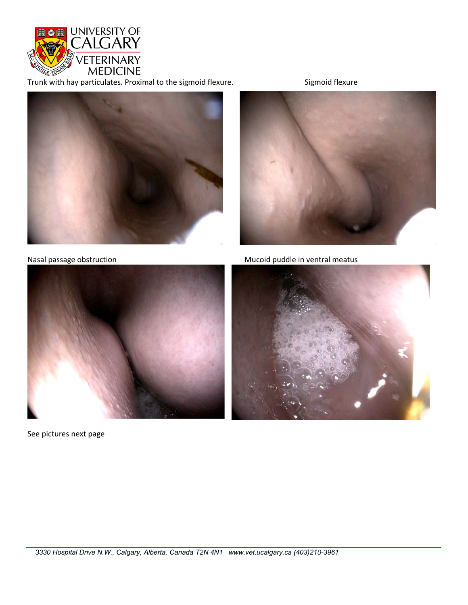

Trunk with hay particulates. Proximal to the sigmoid flexure. Sigmoid flexure





Nasal passage obstruction Mucoid puddle in ventral meatus



See pictures next page